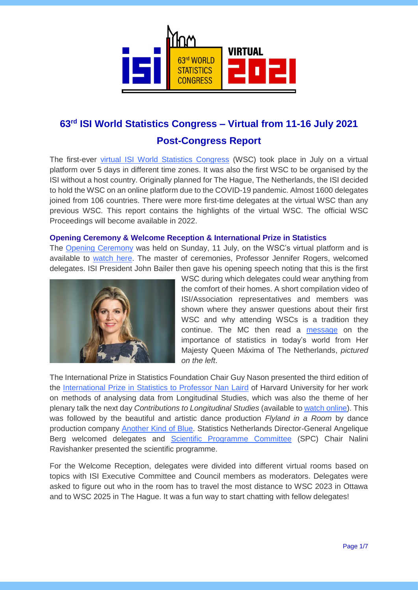

# **63rd ISI World Statistics Congress – Virtual from 11-16 July 2021**

# **Post-Congress Report**

The first-ever [virtual ISI World Statistics Congress](https://www.isi2021.org/) (WSC) took place in July on a virtual platform over 5 days in different time zones. It was also the first WSC to be organised by the ISI without a host country. Originally planned for The Hague, The Netherlands, the ISI decided to hold the WSC on an online platform due to the COVID-19 pandemic. Almost 1600 delegates joined from 106 countries. There were more first-time delegates at the virtual WSC than any previous WSC. This report contains the highlights of the virtual WSC. The official WSC Proceedings will become available in 2022.

# **Opening Ceremony & Welcome Reception & International Prize in Statistics**

The [Opening Ceremony](https://www.isi2021.org/news/highlights-opening-ceremony/index.html) was held on Sunday, 11 July, on the WSC's virtual platform and is available to [watch here.](https://www.isi-web.org/news-featured/56-world-statistics-congress-wsc/20698-highlights-from-the-isi-wsc-2021) The master of ceremonies, Professor Jennifer Rogers, welcomed delegates. ISI President John Bailer then gave his opening speech noting that this is the first



WSC during which delegates could wear anything from the comfort of their homes. A short compilation video of ISI/Association representatives and members was shown where they answer questions about their first WSC and why attending WSCs is a tradition they continue. The MC then read a [message](https://www.isi2021.org/message-queen/index.html) on the importance of statistics in today's world from Her Majesty Queen Máxima of The Netherlands, *pictured on the left*.

The International Prize in Statistics Foundation Chair Guy Nason presented the third edition of the [International Prize in Statistics to Professor Nan Laird](https://www.isi2021.org/news/intprizestatswinner-2021/index.html) of Harvard University for her work on methods of analysing data from Longitudinal Studies, which was also the theme of her plenary talk the next day *Contributions to Longitudinal Studies* (available to [watch online\)](https://www.isi-web.org/news-featured/56-world-statistics-congress-wsc/20698-highlights-from-the-isi-wsc-2021). This was followed by the beautiful and artistic dance production *Flyland in a Room* by dance production company [Another Kind of Blue.](https://www.anotherkindofblue.nl/en/) Statistics Netherlands Director-General Angelique Berg welcomed delegates and [Scientific Programme Committee](https://www.isi2021.org/scientific-programme-committee/index.html) (SPC) Chair Nalini Ravishanker presented the scientific programme.

For the Welcome Reception, delegates were divided into different virtual rooms based on topics with ISI Executive Committee and Council members as moderators. Delegates were asked to figure out who in the room has to travel the most distance to WSC 2023 in Ottawa and to WSC 2025 in The Hague. It was a fun way to start chatting with fellow delegates!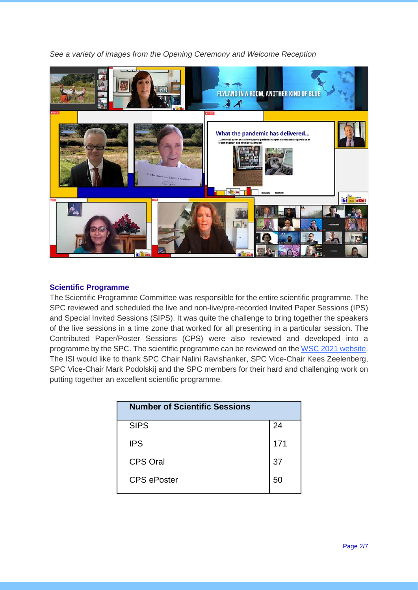*See a variety of images from the Opening Ceremony and Welcome Reception*



# **Scientific Programme**

The Scientific Programme Committee was responsible for the entire scientific programme. The SPC reviewed and scheduled the live and non-live/pre-recorded Invited Paper Sessions (IPS) and Special Invited Sessions (SIPS). It was quite the challenge to bring together the speakers of the live sessions in a time zone that worked for all presenting in a particular session. The Contributed Paper/Poster Sessions (CPS) were also reviewed and developed into a programme by the SPC. The scientific programme can be reviewed on the [WSC 2021 website.](https://isi2021.org/events/isi-world-statistics-congress-2021/index.html) The ISI would like to thank SPC Chair Nalini Ravishanker, SPC Vice-Chair Kees Zeelenberg, SPC Vice-Chair Mark Podolskij and the SPC members for their hard and challenging work on putting together an excellent scientific programme.

| <b>Number of Scientific Sessions</b> |     |
|--------------------------------------|-----|
| <b>SIPS</b>                          | 24  |
| <b>IPS</b>                           | 171 |
| <b>CPS Oral</b>                      | 37  |
| <b>CPS</b> ePoster                   | 50  |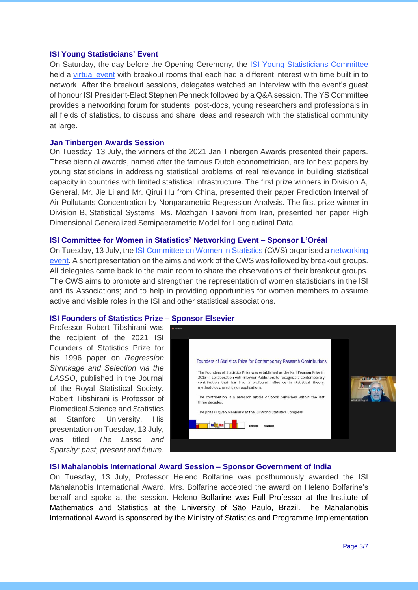### **ISI Young Statisticians' Event**

On Saturday, the day before the Opening Ceremony, the [ISI Young Statisticians Committee](https://www.isi-web.org/community/committees/special-interest-groups?id=257)  held a [virtual event](https://www.isi2021.org/isi-ys-event/index.html) with breakout rooms that each had a different interest with time built in to network. After the breakout sessions, delegates watched an interview with the event's guest of honour ISI President-Elect Stephen Penneck followed by a Q&A session. The YS Committee provides a networking forum for students, post-docs, young researchers and professionals in all fields of statistics, to discuss and share ideas and research with the statistical community at large.

#### **Jan Tinbergen Awards Session**

On Tuesday, 13 July, the winners of the 2021 Jan Tinbergen Awards presented their papers. These biennial awards, named after the famous Dutch econometrician, are for best papers by young statisticians in addressing statistical problems of real relevance in building statistical capacity in countries with limited statistical infrastructure. The first prize winners in Division A, General, Mr. Jie Li and Mr. Qirui Hu from China, presented their paper Prediction Interval of Air Pollutants Concentration by Nonparametric Regression Analysis. The first prize winner in Division B, Statistical Systems, Ms. Mozhgan Taavoni from Iran, presented her paper High Dimensional Generalized Semipaerametric Model for Longitudinal Data.

#### **ISI Committee for Women in Statistics' Networking Event – Sponsor L'Oréal**

On Tuesday, 13 July, the [ISI Committee on Women in Statistics](https://www.isi-web.org/community/committees/special-interest-groups?id=131) (CWS) organised [a networking](https://www.isi2021.org/isi-cws-event/index.html) [event.](https://www.isi2021.org/isi-cws-event/index.html) A short presentation on the aims and work of the CWS was followed by breakout groups. All delegates came back to the main room to share the observations of their breakout groups. The CWS aims to promote and strengthen the representation of women statisticians in the ISI and its Associations; and to help in providing opportunities for women members to assume active and visible roles in the ISI and other statistical associations.

#### **ISI Founders of Statistics Prize – Sponsor Elsevier**

Professor Robert Tibshirani was the recipient of the 2021 ISI Founders of Statistics Prize for his 1996 paper on *Regression Shrinkage and Selection via the LASSO*, published in the Journal of the Royal Statistical Society. Robert Tibshirani is Professor of Biomedical Science and Statistics at Stanford University. His presentation on Tuesday, 13 July, was titled *The Lasso and Sparsity: past, present and future*.



#### **ISI Mahalanobis International Award Session – Sponsor Government of India**

On Tuesday, 13 July, Professor Heleno Bolfarine was posthumously awarded the ISI Mahalanobis International Award. Mrs. Bolfarine accepted the award on Heleno Bolfarine's behalf and spoke at the session. Heleno Bolfarine was Full Professor at the Institute of Mathematics and Statistics at the University of São Paulo, Brazil. The Mahalanobis International Award is sponsored by the Ministry of Statistics and Programme Implementation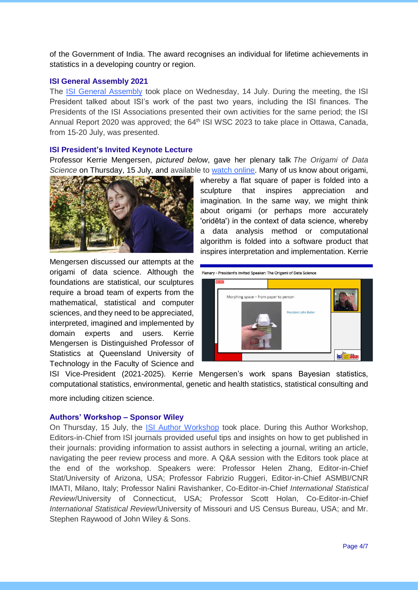of the Government of India. The award recognises an individual for lifetime achievements in statistics in a developing country or region.

## **ISI General Assembly 2021**

The [ISI General Assembly](https://isi2021.org/isi-general-assembly/index.html) took place on Wednesday, 14 July. During the meeting, the ISI President talked about ISI's work of the past two years, including the ISI finances. The Presidents of the ISI Associations presented their own activities for the same period; the ISI Annual Report 2020 was approved; the 64<sup>th</sup> ISI WSC 2023 to take place in Ottawa, Canada, from 15-20 July, was presented.

# **ISI President's Invited Keynote Lecture**

Professor Kerrie Mengersen, *pictured below*, gave her plenary talk *The Origami of Data Science* on Thursday, 15 July, and available to [watch online.](https://www.isi-web.org/news-featured/56-world-statistics-congress-wsc/20698-highlights-from-the-isi-wsc-2021) Many of us know about origami,



Mengersen discussed our attempts at the origami of data science. Although the foundations are statistical, our sculptures require a broad team of experts from the mathematical, statistical and computer sciences, and they need to be appreciated, interpreted, imagined and implemented by domain experts and users. Kerrie Mengersen is Distinguished Professor of Statistics at Queensland University of Technology in the Faculty of Science and

whereby a flat square of paper is folded into a sculpture that inspires appreciation and imagination. In the same way, we might think about origami (or perhaps more accurately 'oridēta') in the context of data science, whereby a data analysis method or computational algorithm is folded into a software product that inspires interpretation and implementation. Kerrie



ISI Vice-President (2021-2025). Kerrie Mengersen's work spans Bayesian statistics, computational statistics, environmental, genetic and health statistics, statistical consulting and

more including citizen science.

### **Authors' Workshop – Sponsor Wiley**

On Thursday, 15 July, the [ISI Author Workshop](https://www.isi2021.org/isi-author-workshop/index.html) took place. During this Author Workshop, Editors-in-Chief from ISI journals provided useful tips and insights on how to get published in their journals: providing information to assist authors in selecting a journal, writing an article, navigating the peer review process and more. A Q&A session with the Editors took place at the end of the workshop. Speakers were: Professor Helen Zhang, Editor-in-Chief Stat/University of Arizona, USA; Professor Fabrizio Ruggeri, Editor-in-Chief ASMBI/CNR IMATI, Milano, Italy; Professor Nalini Ravishanker, Co-Editor-in-Chief *International Statistical Review*/University of Connecticut, USA; Professor Scott Holan, Co-Editor-in-Chief *International Statistical Review*/University of Missouri and US Census Bureau, USA; and Mr. Stephen Raywood of John Wiley & Sons.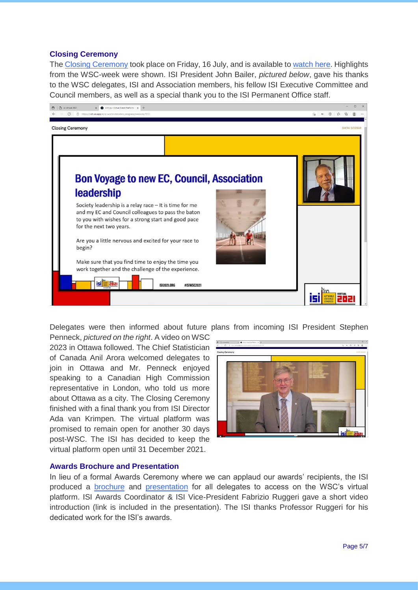# **Closing Ceremony**

The [Closing Ceremony](https://www.isi2021.org/closing-ceremony/index.html) took place on Friday, 16 July, and is available to [watch here.](https://www.isi-web.org/news-featured/56-world-statistics-congress-wsc/20698-highlights-from-the-isi-wsc-2021) Highlights from the WSC-week were shown. ISI President John Bailer, *pictured below*, gave his thanks to the WSC delegates, ISI and Association members, his fellow ISI Executive Committee and Council members, as well as a special thank you to the ISI Permanent Office staff.



Delegates were then informed about future plans from incoming ISI President Stephen

Penneck, *pictured on the right*. A video on WSC 2023 in Ottawa followed. The Chief Statistician of Canada Anil Arora welcomed delegates to join in Ottawa and Mr. Penneck enjoyed speaking to a Canadian High Commission representative in London, who told us more about Ottawa as a city. The Closing Ceremony finished with a final thank you from ISI Director Ada van Krimpen. The virtual platform was promised to remain open for another 30 days post-WSC. The ISI has decided to keep the virtual platform open until 31 December 2021.



### **Awards Brochure and Presentation**

In lieu of a formal Awards Ceremony where we can applaud our awards' recipients, the ISI produced a [brochure](https://www.isi-web.org/images/WSC/2021/wsc-2020-2021-awards-brochure.pdf) and [presentation](https://www.isi-web.org/images/WSC/2021/wsc-2020-2021-isi-and-associations-awards-presentation.pdf) for all delegates to access on the WSC's virtual platform. ISI Awards Coordinator & ISI Vice-President Fabrizio Ruggeri gave a short video introduction (link is included in the presentation). The ISI thanks Professor Ruggeri for his dedicated work for the ISI's awards.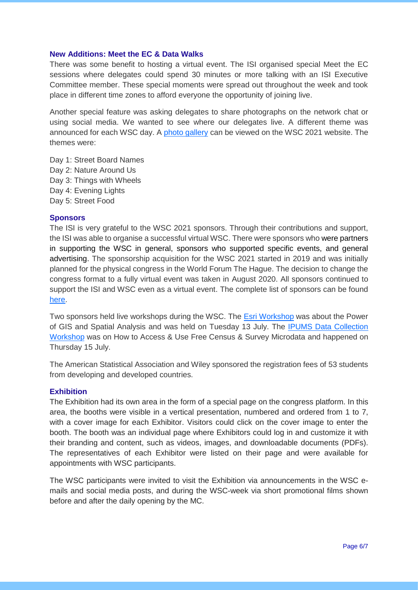### **New Additions: Meet the EC & Data Walks**

There was some benefit to hosting a virtual event. The ISI organised special Meet the EC sessions where delegates could spend 30 minutes or more talking with an ISI Executive Committee member. These special moments were spread out throughout the week and took place in different time zones to afford everyone the opportunity of joining live.

Another special feature was asking delegates to share photographs on the network chat or using social media. We wanted to see where our delegates live. A different theme was announced for each WSC day. A [photo gallery](https://www.isi2021.org/data-walks/) can be viewed on the WSC 2021 website. The themes were:

Day 1: Street Board Names Day 2: Nature Around Us Day 3: Things with Wheels Day 4: Evening Lights Day 5: Street Food

#### **Sponsors**

The ISI is very grateful to the WSC 2021 sponsors. Through their contributions and support, the ISI was able to organise a successful virtual WSC. There were sponsors who were partners in supporting the WSC in general, sponsors who supported specific events, and general advertising. The sponsorship acquisition for the WSC 2021 started in 2019 and was initially planned for the physical congress in the World Forum The Hague. The decision to change the congress format to a fully virtual event was taken in August 2020. All sponsors continued to support the ISI and WSC even as a virtual event. The complete list of sponsors can be found [here.](https://www.isi2021.org/partners-and-sponsors/)

Two sponsors held live workshops during the WSC. The [Esri Workshop](https://www.isi2021.org/esri-workshop/index.html) was about the Power of GIS and Spatial Analysis and was held on Tuesday 13 July. The [IPUMS Data Collection](https://www.isi2021.org/ipums-workshop/index.html)  [Workshop](https://www.isi2021.org/ipums-workshop/index.html) was on How to Access & Use Free Census & Survey Microdata and happened on Thursday 15 July.

The American Statistical Association and Wiley sponsored the registration fees of 53 students from developing and developed countries.

#### **Exhibition**

The Exhibition had its own area in the form of a special page on the congress platform. In this area, the booths were visible in a vertical presentation, numbered and ordered from 1 to 7, with a cover image for each Exhibitor. Visitors could click on the cover image to enter the booth. The booth was an individual page where Exhibitors could log in and customize it with their branding and content, such as videos, images, and downloadable documents (PDFs). The representatives of each Exhibitor were listed on their page and were available for appointments with WSC participants.

The WSC participants were invited to visit the Exhibition via announcements in the WSC emails and social media posts, and during the WSC-week via short promotional films shown before and after the daily opening by the MC.